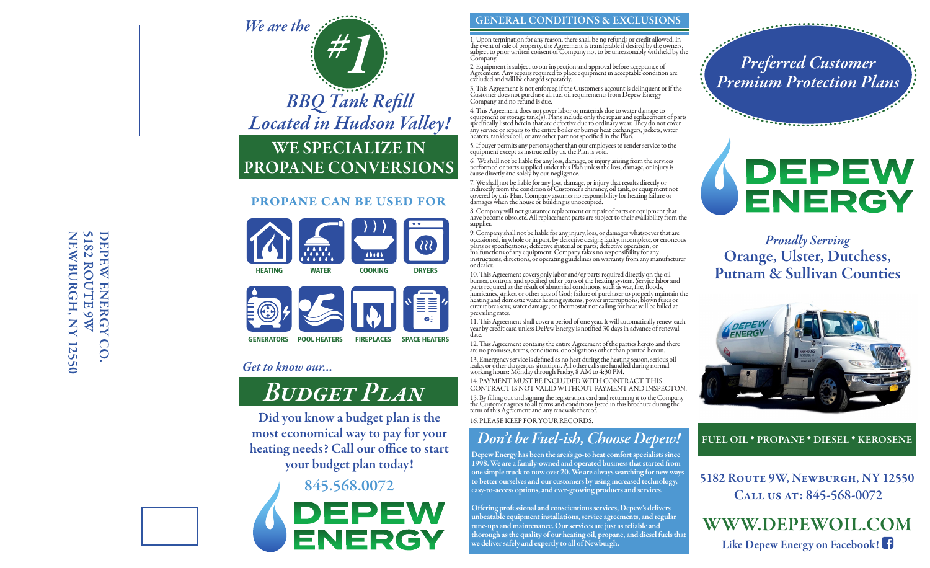# NEWBURGH, NY 12550 **SI82 ROUTE 9W** NEWBURGH, NY 12550 5182 ROUTE 9W DEPEW ENERGY DEPEW ENERGY CO.CO



## WE SPECIALIZE IN PROPANE CONVERSIONS

### propane can be used for





### *Get to know our...*

# *Budget Plan*

Did you know a budget plan is the most economical way to pay for your heating needs? Call our office to start your budget plan today!

> 845.568.0072 NERGY

### GENERAL CONDITIONS & EXCLUSIONS

1. Upon termination for any reason, there shall be no refunds or credit allowed. In<br>the event of sale of property, the Agreement is transferable if desired by the owners,<br>subject to prior written consent of Company not to Company.

2. Equipment is subject to our inspection and approval before acceptance of Agreement. Any repairs required to place equipment in acceptable condition are excluded and will be charged separately.

3. This Agreement is not enforced if the Customer's account is delinquent or if the<br>Customer does not purchase all fuel oil requirements from Depew Energy<br>Company and no refund is due.

4. This Agreement does not cover labor or materials due to water damage to<br>equipment or storage tank(s). Plans include only the repair and replacement of parts<br>specifically listed herein that are defective due to ordinary

5. If buyer permits any persons other than our employees to render service to the equipment except as instructed by us, the Plan is void.

6. We shall not be liable for any loss, damage, or injury arising from the services performed or parts supplied under this Plan unless the loss, damage, or injury is cause directly and solely by our negligence.

7. We shall not be liable for any loss, damage, or injury that results directly or indirectly from the condition of Customer's chimney, oil tank, or equipment not covered by this Plan. Company assumes no responsibility for heating failure or damages when the house or building is unoccupied.

8. Company will not guarantee replacement or repair of parts or equipment that have become obsolete. All replacement parts are subject to their availability from the supplier.

9. Company shall not be liable for any injury, loss, or damages whatsoever thatare occasioned, in whole or in part, by defective design; faulty, incomplete, or erroneous plans or specifications; defective material or parts; defective operation; or<br>malfunctions of any equipment. Company takes no responsibility for any<br>instructions, directions, or operating guidelines on warranty from any ma or dealer.

10. This Agreement covers only labor and/or parts required directly on the oil<br>burner, controls, and specified other parts of the heating system. Service labor and<br>parts required as the result of abnormal conditions, such prevailing rates.

11. This Agreement shall cover a period of one year. It will automatically renew each<br>year by credit card unless DePew Energy is notified 30 days in advance of renewal date.

12. This Agreement contains the entire Agreement of the parties hereto and there are no promises, terms, conditions, or obligations other than printed herein.

13. Emergency service is defined as no heat during the heating season, serious oil<br>leaks, or other dangerous situations. All other calls are handled during normal<br>working hours: Monday through Friday, 8 AM to 4:30 PM. 14. PAYMENT MUST BE INCLUDED WITH CONTRACT. THIS

CONTRACT IS NOT VALID WITHOUT PAYMENT AND INSPECTON. 15. By lling out and signing the registration card and returning it to the Company the Customer agrees to all terms and conditions listed in this brochure during the term of this Agreement and any renewals thereof.

16. PLEASE KEEP FOR YOUR RECORDS.

### *Don't be Fuel-ish, Choose Depew!*

Depew Energy has been the area's go-to heat comfort specialists since 1998. We are a family-owned and operated business that started from one simple truck to now over 20. We are always searching for new ways to better ourselves and our customers by using increased technology, easy-to-access options, and ever-growing products and services.

Offering professional and conscientious services, Depew's delivers unbeatable equipment installations, service agreements, and regular tune-ups and maintenance. Our services are just as reliable and thorough as the quality of our heating oil, propane, and diesel fuels that we deliver safely and expertly to all of Newburgh.

*Preferred Customer Premium Protection Plans*

. . . . . . . . . . . . . . . . .

DEPEW ENERGY

*Proudly Serving* Orange, Ulster, Dutchess, Putnam & Sullivan Counties



### FUEL OIL • PROPANE • DIESEL • KEROSENE

5182 Route 9W, Newburgh, NY 12550 CALL US AT: 845-568-0072

WWW.DEPEWOIL.COM Like Depew Energy on Facebook!